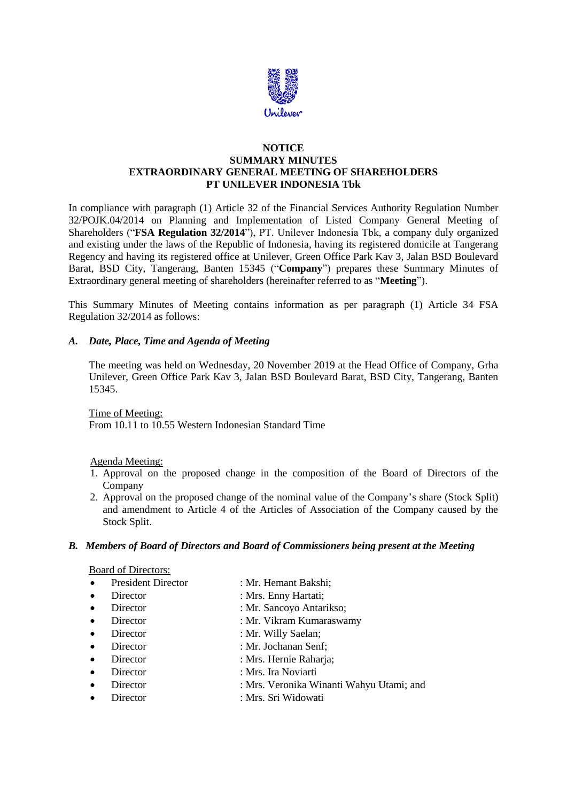

### **NOTICE SUMMARY MINUTES EXTRAORDINARY GENERAL MEETING OF SHAREHOLDERS PT UNILEVER INDONESIA Tbk**

In compliance with paragraph (1) Article 32 of the Financial Services Authority Regulation Number 32/POJK.04/2014 on Planning and Implementation of Listed Company General Meeting of Shareholders ("**FSA Regulation 32/2014**"), PT. Unilever Indonesia Tbk, a company duly organized and existing under the laws of the Republic of Indonesia, having its registered domicile at Tangerang Regency and having its registered office at Unilever, Green Office Park Kav 3, Jalan BSD Boulevard Barat, BSD City, Tangerang, Banten 15345 ("**Company**") prepares these Summary Minutes of Extraordinary general meeting of shareholders (hereinafter referred to as "**Meeting**").

This Summary Minutes of Meeting contains information as per paragraph (1) Article 34 FSA Regulation 32/2014 as follows:

### *A. Date, Place, Time and Agenda of Meeting*

The meeting was held on Wednesday, 20 November 2019 at the Head Office of Company, Grha Unilever, Green Office Park Kav 3, Jalan BSD Boulevard Barat, BSD City, Tangerang, Banten 15345.

Time of Meeting:

From 10.11 to 10.55 Western Indonesian Standard Time

Agenda Meeting:

- 1. Approval on the proposed change in the composition of the Board of Directors of the Company
- 2. Approval on the proposed change of the nominal value of the Company's share (Stock Split) and amendment to Article 4 of the Articles of Association of the Company caused by the Stock Split.

#### *B. Members of Board of Directors and Board of Commissioners being present at the Meeting*

#### Board of Directors:

- President Director : Mr. Hemant Bakshi;
- Director : Mrs. Enny Hartati;
- Director : Mr. Sancoyo Antarikso;
- Director : Mr. Vikram Kumaraswamy
- Director : Mr. Willy Saelan:
- Director : Mr. Jochanan Senf:
- Director : Mrs. Hernie Raharja;
- Director : Mrs. Ira Noviarti
- Director : Mrs. Veronika Winanti Wahyu Utami; and
- Director : Mrs. Sri Widowati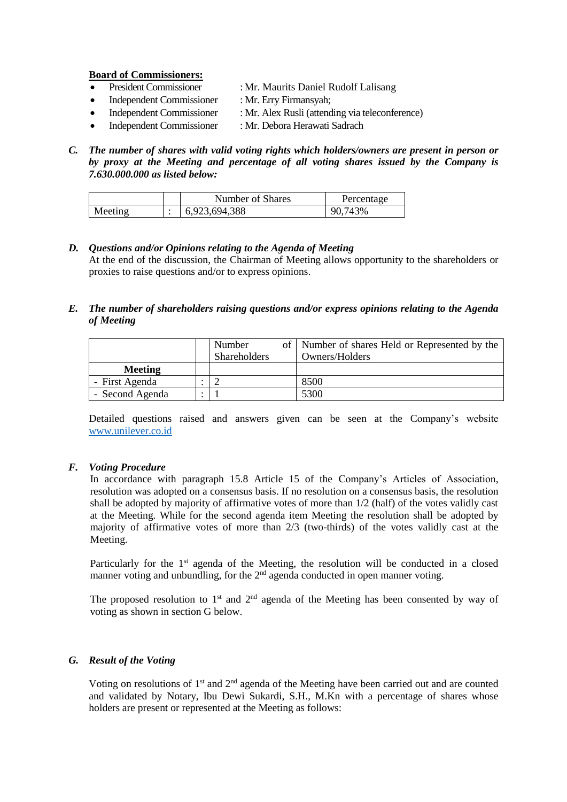**Board of Commissioners:**

- President Commissioner : Mr. Maurits Daniel Rudolf Lalisang
- Independent Commissioner : Mr. Erry Firmansyah;
- Independent Commissioner : Mr. Alex Rusli (attending via teleconference)
	- Independent Commissioner : Mr. Debora Herawati Sadrach
- *C. The number of shares with valid voting rights which holders/owners are present in person or by proxy at the Meeting and percentage of all voting shares issued by the Company is 7.630.000.000 as listed below:*

|         | Number of Shares | Percentage |
|---------|------------------|------------|
| Meeting | 6,923,694,388    | 90,743%    |

### *D. Questions and/or Opinions relating to the Agenda of Meeting*

At the end of the discussion, the Chairman of Meeting allows opportunity to the shareholders or proxies to raise questions and/or to express opinions.

### *E. The number of shareholders raising questions and/or express opinions relating to the Agenda of Meeting*

|                 | Number<br>Shareholders | of   Number of shares Held or Represented by the<br>Owners/Holders |
|-----------------|------------------------|--------------------------------------------------------------------|
| <b>Meeting</b>  |                        |                                                                    |
| - First Agenda  |                        | 8500                                                               |
| - Second Agenda |                        | 5300                                                               |

Detailed questions raised and answers given can be seen at the Company's website [www.unilever.co.id](http://www.unilever.co.id/)

### *F. Voting Procedure*

In accordance with paragraph 15.8 Article 15 of the Company's Articles of Association, resolution was adopted on a consensus basis. If no resolution on a consensus basis, the resolution shall be adopted by majority of affirmative votes of more than 1/2 (half) of the votes validly cast at the Meeting. While for the second agenda item Meeting the resolution shall be adopted by majority of affirmative votes of more than 2/3 (two-thirds) of the votes validly cast at the Meeting.

Particularly for the 1<sup>st</sup> agenda of the Meeting, the resolution will be conducted in a closed manner voting and unbundling, for the 2<sup>nd</sup> agenda conducted in open manner voting.

The proposed resolution to  $1<sup>st</sup>$  and  $2<sup>nd</sup>$  agenda of the Meeting has been consented by way of voting as shown in section G below.

## *G. Result of the Voting*

Voting on resolutions of 1<sup>st</sup> and 2<sup>nd</sup> agenda of the Meeting have been carried out and are counted and validated by Notary, Ibu Dewi Sukardi, S.H., M.Kn with a percentage of shares whose holders are present or represented at the Meeting as follows: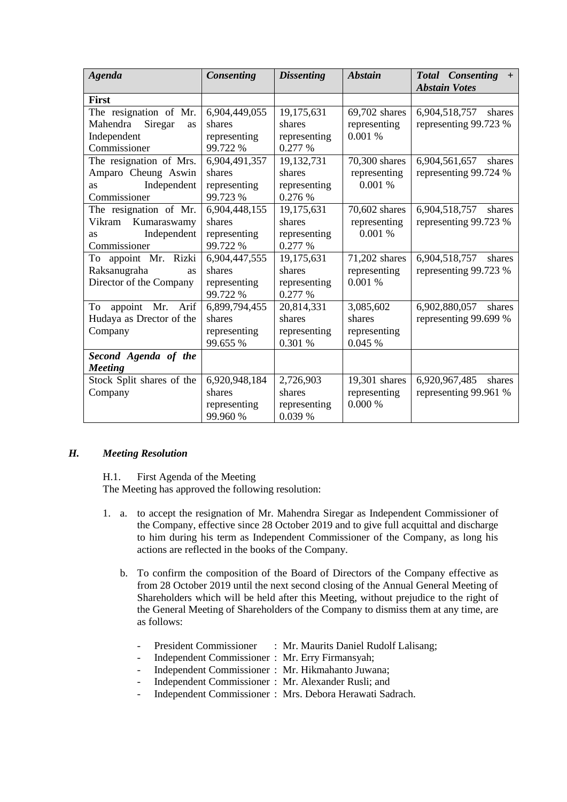| Agenda                                                                              | <b>Consenting</b>                                   | <b>Dissenting</b>                               | <b>Abstain</b>                                 | Total Consenting +<br><b>Abstain Votes</b>       |
|-------------------------------------------------------------------------------------|-----------------------------------------------------|-------------------------------------------------|------------------------------------------------|--------------------------------------------------|
| <b>First</b>                                                                        |                                                     |                                                 |                                                |                                                  |
| The resignation of Mr.<br>Siregar<br>Mahendra<br>as<br>Independent<br>Commissioner  | 6,904,449,055<br>shares<br>representing<br>99.722 % | 19,175,631<br>shares<br>representing<br>0.277 % | 69,702 shares<br>representing<br>0.001%        | 6,904,518,757<br>shares<br>representing 99.723 % |
| The resignation of Mrs.<br>Amparo Cheung Aswin<br>Independent<br>as<br>Commissioner | 6,904,491,357<br>shares<br>representing<br>99.723 % | 19,132,731<br>shares<br>representing<br>0.276 % | 70,300 shares<br>representing<br>0.001 %       | 6,904,561,657<br>shares<br>representing 99.724 % |
| The resignation of Mr.<br>Vikram Kumaraswamy<br>Independent<br>as<br>Commissioner   | 6,904,448,155<br>shares<br>representing<br>99.722 % | 19,175,631<br>shares<br>representing<br>0.277 % | 70,602 shares<br>representing<br>0.001 %       | 6,904,518,757<br>shares<br>representing 99.723 % |
| To appoint Mr. Rizki<br>Raksanugraha<br>as<br>Director of the Company               | 6,904,447,555<br>shares<br>representing<br>99.722 % | 19,175,631<br>shares<br>representing<br>0.277 % | 71,202 shares<br>representing<br>0.001%        | 6,904,518,757<br>shares<br>representing 99.723 % |
| To<br>appoint Mr.<br>Arif<br>Hudaya as Drector of the<br>Company                    | 6,899,794,455<br>shares<br>representing<br>99.655 % | 20,814,331<br>shares<br>representing<br>0.301 % | 3,085,602<br>shares<br>representing<br>0.045 % | 6,902,880,057<br>shares<br>representing 99.699 % |
| Second Agenda of the<br><b>Meeting</b>                                              |                                                     |                                                 |                                                |                                                  |
| Stock Split shares of the<br>Company                                                | 6,920,948,184<br>shares<br>representing<br>99.960 % | 2,726,903<br>shares<br>representing<br>0.039 %  | 19,301 shares<br>representing<br>0.000%        | 6,920,967,485<br>shares<br>representing 99.961 % |

#### *H. Meeting Resolution*

H.1. First Agenda of the Meeting

The Meeting has approved the following resolution:

- 1. a. to accept the resignation of Mr. Mahendra Siregar as Independent Commissioner of the Company, effective since 28 October 2019 and to give full acquittal and discharge to him during his term as Independent Commissioner of the Company, as long his actions are reflected in the books of the Company.
	- b. To confirm the composition of the Board of Directors of the Company effective as from 28 October 2019 until the next second closing of the Annual General Meeting of Shareholders which will be held after this Meeting, without prejudice to the right of the General Meeting of Shareholders of the Company to dismiss them at any time, are as follows:
		- President Commissioner : Mr. Maurits Daniel Rudolf Lalisang;
			- Independent Commissioner : Mr. Erry Firmansyah;
		- Independent Commissioner : Mr. Hikmahanto Juwana;
			- Independent Commissioner : Mr. Alexander Rusli; and
		- Independent Commissioner : Mrs. Debora Herawati Sadrach.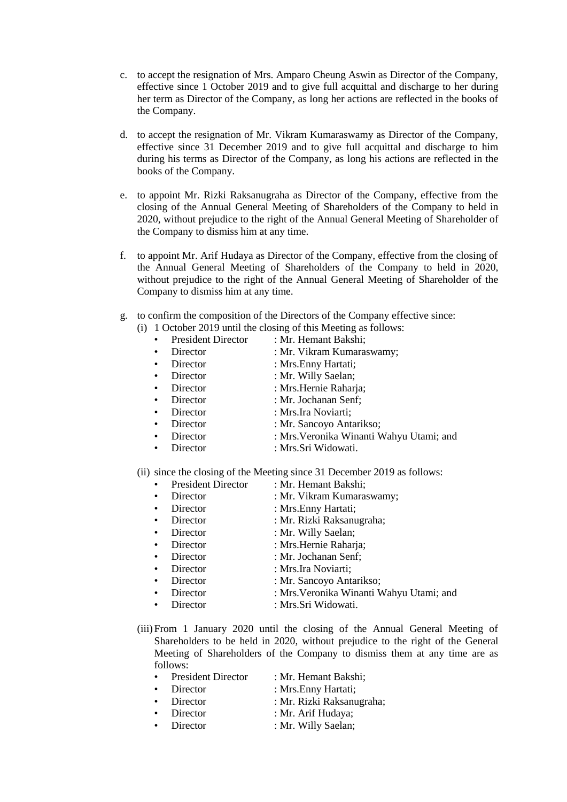- c. to accept the resignation of Mrs. Amparo Cheung Aswin as Director of the Company, effective since 1 October 2019 and to give full acquittal and discharge to her during her term as Director of the Company, as long her actions are reflected in the books of the Company.
- d. to accept the resignation of Mr. Vikram Kumaraswamy as Director of the Company, effective since 31 December 2019 and to give full acquittal and discharge to him during his terms as Director of the Company, as long his actions are reflected in the books of the Company.
- e. to appoint Mr. Rizki Raksanugraha as Director of the Company, effective from the closing of the Annual General Meeting of Shareholders of the Company to held in 2020, without prejudice to the right of the Annual General Meeting of Shareholder of the Company to dismiss him at any time.
- f. to appoint Mr. Arif Hudaya as Director of the Company, effective from the closing of the Annual General Meeting of Shareholders of the Company to held in 2020, without prejudice to the right of the Annual General Meeting of Shareholder of the Company to dismiss him at any time.
- g. to confirm the composition of the Directors of the Company effective since:
	- (i) 1 October 2019 until the closing of this Meeting as follows:
		- President Director : Mr. Hemant Bakshi: • Director : Mr. Vikram Kumaraswamy: • Director : Mrs.Enny Hartati: **Director** : Mr. Willy Saelan; • Director : Mrs.Hernie Raharja; • Director : Mr. Jochanan Senf; • Director : Mrs.Ira Noviarti; • Director : Mr. Sancoyo Antarikso; • Director : Mrs.Veronika Winanti Wahyu Utami; and
			- Director : Mrs.Sri Widowati.

(ii) since the closing of the Meeting since 31 December 2019 as follows:

- President Director : Mr. Hemant Bakshi;
- Director : Mr. Vikram Kumaraswamy; **Director** : Mrs.Enny Hartati; • Director : Mr. Rizki Raksanugraha; **Director** : Mr. Willy Saelan; • Director : Mrs.Hernie Raharja; • Director : Mr. Jochanan Senf; • Director : Mrs.Ira Noviarti; • Director : Mr. Sancoyo Antarikso; • Director : Mrs.Veronika Winanti Wahyu Utami; and
- Director : Mrs.Sri Widowati.
- (iii)From 1 January 2020 until the closing of the Annual General Meeting of Shareholders to be held in 2020, without prejudice to the right of the General Meeting of Shareholders of the Company to dismiss them at any time are as follows:

| • President Director | : Mr. Hemant Bakshi;      |
|----------------------|---------------------------|
| • Director           | : Mrs. Enny Hartati;      |
| • Director           | : Mr. Rizki Raksanugraha; |
| • Director           | : Mr. Arif Hudaya;        |
| • Director           | : Mr. Willy Saelan;       |
|                      |                           |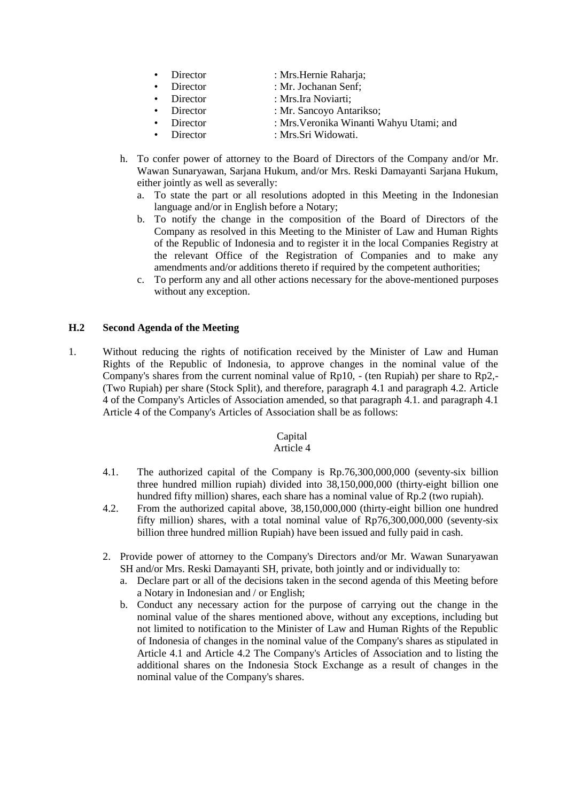- Director : Mrs. Hernie Raharja; • Director : Mr. Jochanan Senf; • Director : Mrs.Ira Noviarti; • Director : Mr. Sancoyo Antarikso;
	- Director : Mrs.Veronika Winanti Wahyu Utami; and
- Director : Mrs.Sri Widowati.
- h. To confer power of attorney to the Board of Directors of the Company and/or Mr. Wawan Sunaryawan, Sarjana Hukum, and/or Mrs. Reski Damayanti Sarjana Hukum, either jointly as well as severally:
	- a. To state the part or all resolutions adopted in this Meeting in the Indonesian language and/or in English before a Notary;
	- b. To notify the change in the composition of the Board of Directors of the Company as resolved in this Meeting to the Minister of Law and Human Rights of the Republic of Indonesia and to register it in the local Companies Registry at the relevant Office of the Registration of Companies and to make any amendments and/or additions thereto if required by the competent authorities;
	- c. To perform any and all other actions necessary for the above-mentioned purposes without any exception.

#### **H.2 Second Agenda of the Meeting**

1. Without reducing the rights of notification received by the Minister of Law and Human Rights of the Republic of Indonesia, to approve changes in the nominal value of the Company's shares from the current nominal value of Rp10, - (ten Rupiah) per share to Rp2,- (Two Rupiah) per share (Stock Split), and therefore, paragraph 4.1 and paragraph 4.2. Article 4 of the Company's Articles of Association amended, so that paragraph 4.1. and paragraph 4.1 Article 4 of the Company's Articles of Association shall be as follows:

# Capital

#### Article 4

- 4.1. The authorized capital of the Company is Rp.76,300,000,000 (seventy-six billion three hundred million rupiah) divided into 38,150,000,000 (thirty-eight billion one hundred fifty million) shares, each share has a nominal value of Rp.2 (two rupiah).
- 4.2. From the authorized capital above, 38,150,000,000 (thirty-eight billion one hundred fifty million) shares, with a total nominal value of Rp76,300,000,000 (seventy-six billion three hundred million Rupiah) have been issued and fully paid in cash.
- 2. Provide power of attorney to the Company's Directors and/or Mr. Wawan Sunaryawan SH and/or Mrs. Reski Damayanti SH, private, both jointly and or individually to:
	- a. Declare part or all of the decisions taken in the second agenda of this Meeting before a Notary in Indonesian and / or English;
	- b. Conduct any necessary action for the purpose of carrying out the change in the nominal value of the shares mentioned above, without any exceptions, including but not limited to notification to the Minister of Law and Human Rights of the Republic of Indonesia of changes in the nominal value of the Company's shares as stipulated in Article 4.1 and Article 4.2 The Company's Articles of Association and to listing the additional shares on the Indonesia Stock Exchange as a result of changes in the nominal value of the Company's shares.